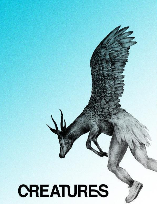# **CREATURES**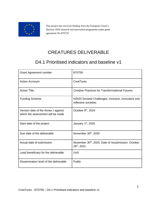

This project has received funding from the European Union's Horizon 2020 research and innovation programme under grant agreement No 870759

## CREATURES DELIVERABLE

## D4.1 Prioritised indicators and baseline v1

| <b>Grant Agreement number</b>                                            | 870759                                                                                     |
|--------------------------------------------------------------------------|--------------------------------------------------------------------------------------------|
| <b>Action Acronym</b>                                                    | <b>CreaTures</b>                                                                           |
| <b>Action Title</b>                                                      | <b>Creative Practices for Transformational Futures</b>                                     |
| <b>Funding Scheme</b>                                                    | H2020 Societal Challenges: Inclusive, innovative and<br>reflective societies               |
| Version date of the Annex I against<br>which the assessment will be made | October 9 <sup>th</sup> , 2019                                                             |
| Start date of the project                                                | January 1st, 2020                                                                          |
| Due date of the deliverable                                              | November 30th, 2020                                                                        |
| Actual date of submission                                                | November 30 <sup>th</sup> , 2020, Date of resubmission: October<br>26 <sup>th</sup> , 2021 |
| Lead beneficiary for the deliverable                                     | <b>UoS</b>                                                                                 |
| Dissemination level of the deliverable                                   | Public                                                                                     |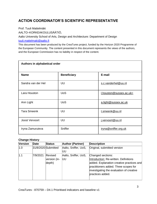#### **ACTION COORDINATOR'S SCIENTIFIC REPRESENTATIVE**

Prof. Tuuli Mattelmäki

AALTO–KORKEAKOULUSÄÄTIÖ,

Aalto University School of Arts, Design and Architecture: Department of Design [tuuli.mattelmaki@aalto.fi](mailto:tuuli.mattelmaki@aalto.fi)

This document has been produced by the CreaTures project, funded by the Horizon 2020 Programme of the European Community. The content presented in this document represents the views of the authors, and the European Commission has no liability in respect of the content.

| Authors in alphabetical order |                    |                         |  |  |  |  |  |  |  |
|-------------------------------|--------------------|-------------------------|--|--|--|--|--|--|--|
| <b>Name</b>                   | <b>Beneficiary</b> | E-mail                  |  |  |  |  |  |  |  |
| Sandra van der Hel            | UU                 | s.c.vanderhel@uu.nl     |  |  |  |  |  |  |  |
| Lara Houston                  | <b>UoS</b>         | I.houston@sussex.ac.uk> |  |  |  |  |  |  |  |
| Ann Light                     | <b>UoS</b>         | a.light@sussex.ac.uk    |  |  |  |  |  |  |  |
| <b>Tara Smeenk</b>            | UU                 | t.smeenk@uu.nl          |  |  |  |  |  |  |  |
| Joost Vervoort                | UU                 | j.vervoort@uu.nl        |  |  |  |  |  |  |  |
| Iryna Zamuruieva              | Sniffer            | iryna@sniffer.org.uk    |  |  |  |  |  |  |  |

#### **Change History**

| Version | Date     | <b>Status</b>                     | <b>Author (Partner)</b>    | <b>Description</b>                                                                                                                                                                                               |
|---------|----------|-----------------------------------|----------------------------|------------------------------------------------------------------------------------------------------------------------------------------------------------------------------------------------------------------|
| 1.0     |          | 31/8/2020 Submitted               | Aalto, Sniffer, UoS,<br>UU | Original, submitted version                                                                                                                                                                                      |
| 1.1     | 7/9/2021 | Revised<br>version (in-<br>depth) | Aalto, Sniffer, UoS,<br>UU | Changed sections:<br>Introduction: Re-written. Definitions<br>added. Explanation creative practices and<br>practitioners added. Three scopes for<br>investigating the evaluation of creative<br>practices added. |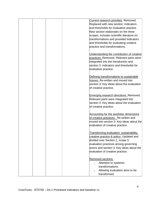| Current research priorities: Removed.<br>Replaced with new section: Indicators<br>and thresholds for evaluative practice.<br>New section elaborates on the three<br>scopes, includes scientific literature on<br>transformations and provided indicators<br>and thresholds for evaluating creative<br>practice and transformations.<br>Understanding the contribution of creative<br>practices: Removed. Relevant parts were<br>integrated into the introduction and<br>section 2: indicators and thresholds for<br>evaluative practice.<br>Defining transformations to sustainable<br>futures: Re-written and moved into<br>section 3: Key ideas about the evaluation<br>of creative practice.<br><b>Emerging research directions: Removed.</b><br>Relevant parts were integrated into<br>section 3: Key ideas about the evaluation<br>of creative practice.<br>Accounting for the aesthetic dimensions<br>of creative practices: Re-written and<br>moved into section 3: Key ideas about the<br>evaluation of creative practice.<br>Transforming evaluation: sustainability,<br>creative practice & policy: Updated and<br>divided over Section 2, scope 3:<br>evaluation practices among governing<br>actors and section 3: Key ideas about the<br>evaluation of creative practice.<br>Removed sections:<br>Attention to systemic<br>transformations<br>Allowing evaluation aims to be<br>transformed |  |  |  |
|----------------------------------------------------------------------------------------------------------------------------------------------------------------------------------------------------------------------------------------------------------------------------------------------------------------------------------------------------------------------------------------------------------------------------------------------------------------------------------------------------------------------------------------------------------------------------------------------------------------------------------------------------------------------------------------------------------------------------------------------------------------------------------------------------------------------------------------------------------------------------------------------------------------------------------------------------------------------------------------------------------------------------------------------------------------------------------------------------------------------------------------------------------------------------------------------------------------------------------------------------------------------------------------------------------------------------------------------------------------------------------------------------------|--|--|--|
|                                                                                                                                                                                                                                                                                                                                                                                                                                                                                                                                                                                                                                                                                                                                                                                                                                                                                                                                                                                                                                                                                                                                                                                                                                                                                                                                                                                                          |  |  |  |
|                                                                                                                                                                                                                                                                                                                                                                                                                                                                                                                                                                                                                                                                                                                                                                                                                                                                                                                                                                                                                                                                                                                                                                                                                                                                                                                                                                                                          |  |  |  |
|                                                                                                                                                                                                                                                                                                                                                                                                                                                                                                                                                                                                                                                                                                                                                                                                                                                                                                                                                                                                                                                                                                                                                                                                                                                                                                                                                                                                          |  |  |  |
|                                                                                                                                                                                                                                                                                                                                                                                                                                                                                                                                                                                                                                                                                                                                                                                                                                                                                                                                                                                                                                                                                                                                                                                                                                                                                                                                                                                                          |  |  |  |
|                                                                                                                                                                                                                                                                                                                                                                                                                                                                                                                                                                                                                                                                                                                                                                                                                                                                                                                                                                                                                                                                                                                                                                                                                                                                                                                                                                                                          |  |  |  |
|                                                                                                                                                                                                                                                                                                                                                                                                                                                                                                                                                                                                                                                                                                                                                                                                                                                                                                                                                                                                                                                                                                                                                                                                                                                                                                                                                                                                          |  |  |  |
|                                                                                                                                                                                                                                                                                                                                                                                                                                                                                                                                                                                                                                                                                                                                                                                                                                                                                                                                                                                                                                                                                                                                                                                                                                                                                                                                                                                                          |  |  |  |
|                                                                                                                                                                                                                                                                                                                                                                                                                                                                                                                                                                                                                                                                                                                                                                                                                                                                                                                                                                                                                                                                                                                                                                                                                                                                                                                                                                                                          |  |  |  |
|                                                                                                                                                                                                                                                                                                                                                                                                                                                                                                                                                                                                                                                                                                                                                                                                                                                                                                                                                                                                                                                                                                                                                                                                                                                                                                                                                                                                          |  |  |  |
|                                                                                                                                                                                                                                                                                                                                                                                                                                                                                                                                                                                                                                                                                                                                                                                                                                                                                                                                                                                                                                                                                                                                                                                                                                                                                                                                                                                                          |  |  |  |
|                                                                                                                                                                                                                                                                                                                                                                                                                                                                                                                                                                                                                                                                                                                                                                                                                                                                                                                                                                                                                                                                                                                                                                                                                                                                                                                                                                                                          |  |  |  |
|                                                                                                                                                                                                                                                                                                                                                                                                                                                                                                                                                                                                                                                                                                                                                                                                                                                                                                                                                                                                                                                                                                                                                                                                                                                                                                                                                                                                          |  |  |  |
|                                                                                                                                                                                                                                                                                                                                                                                                                                                                                                                                                                                                                                                                                                                                                                                                                                                                                                                                                                                                                                                                                                                                                                                                                                                                                                                                                                                                          |  |  |  |
|                                                                                                                                                                                                                                                                                                                                                                                                                                                                                                                                                                                                                                                                                                                                                                                                                                                                                                                                                                                                                                                                                                                                                                                                                                                                                                                                                                                                          |  |  |  |
|                                                                                                                                                                                                                                                                                                                                                                                                                                                                                                                                                                                                                                                                                                                                                                                                                                                                                                                                                                                                                                                                                                                                                                                                                                                                                                                                                                                                          |  |  |  |
|                                                                                                                                                                                                                                                                                                                                                                                                                                                                                                                                                                                                                                                                                                                                                                                                                                                                                                                                                                                                                                                                                                                                                                                                                                                                                                                                                                                                          |  |  |  |
|                                                                                                                                                                                                                                                                                                                                                                                                                                                                                                                                                                                                                                                                                                                                                                                                                                                                                                                                                                                                                                                                                                                                                                                                                                                                                                                                                                                                          |  |  |  |
|                                                                                                                                                                                                                                                                                                                                                                                                                                                                                                                                                                                                                                                                                                                                                                                                                                                                                                                                                                                                                                                                                                                                                                                                                                                                                                                                                                                                          |  |  |  |
|                                                                                                                                                                                                                                                                                                                                                                                                                                                                                                                                                                                                                                                                                                                                                                                                                                                                                                                                                                                                                                                                                                                                                                                                                                                                                                                                                                                                          |  |  |  |
|                                                                                                                                                                                                                                                                                                                                                                                                                                                                                                                                                                                                                                                                                                                                                                                                                                                                                                                                                                                                                                                                                                                                                                                                                                                                                                                                                                                                          |  |  |  |
|                                                                                                                                                                                                                                                                                                                                                                                                                                                                                                                                                                                                                                                                                                                                                                                                                                                                                                                                                                                                                                                                                                                                                                                                                                                                                                                                                                                                          |  |  |  |
|                                                                                                                                                                                                                                                                                                                                                                                                                                                                                                                                                                                                                                                                                                                                                                                                                                                                                                                                                                                                                                                                                                                                                                                                                                                                                                                                                                                                          |  |  |  |
|                                                                                                                                                                                                                                                                                                                                                                                                                                                                                                                                                                                                                                                                                                                                                                                                                                                                                                                                                                                                                                                                                                                                                                                                                                                                                                                                                                                                          |  |  |  |
|                                                                                                                                                                                                                                                                                                                                                                                                                                                                                                                                                                                                                                                                                                                                                                                                                                                                                                                                                                                                                                                                                                                                                                                                                                                                                                                                                                                                          |  |  |  |
|                                                                                                                                                                                                                                                                                                                                                                                                                                                                                                                                                                                                                                                                                                                                                                                                                                                                                                                                                                                                                                                                                                                                                                                                                                                                                                                                                                                                          |  |  |  |
|                                                                                                                                                                                                                                                                                                                                                                                                                                                                                                                                                                                                                                                                                                                                                                                                                                                                                                                                                                                                                                                                                                                                                                                                                                                                                                                                                                                                          |  |  |  |
|                                                                                                                                                                                                                                                                                                                                                                                                                                                                                                                                                                                                                                                                                                                                                                                                                                                                                                                                                                                                                                                                                                                                                                                                                                                                                                                                                                                                          |  |  |  |
|                                                                                                                                                                                                                                                                                                                                                                                                                                                                                                                                                                                                                                                                                                                                                                                                                                                                                                                                                                                                                                                                                                                                                                                                                                                                                                                                                                                                          |  |  |  |
|                                                                                                                                                                                                                                                                                                                                                                                                                                                                                                                                                                                                                                                                                                                                                                                                                                                                                                                                                                                                                                                                                                                                                                                                                                                                                                                                                                                                          |  |  |  |
|                                                                                                                                                                                                                                                                                                                                                                                                                                                                                                                                                                                                                                                                                                                                                                                                                                                                                                                                                                                                                                                                                                                                                                                                                                                                                                                                                                                                          |  |  |  |
|                                                                                                                                                                                                                                                                                                                                                                                                                                                                                                                                                                                                                                                                                                                                                                                                                                                                                                                                                                                                                                                                                                                                                                                                                                                                                                                                                                                                          |  |  |  |
|                                                                                                                                                                                                                                                                                                                                                                                                                                                                                                                                                                                                                                                                                                                                                                                                                                                                                                                                                                                                                                                                                                                                                                                                                                                                                                                                                                                                          |  |  |  |
|                                                                                                                                                                                                                                                                                                                                                                                                                                                                                                                                                                                                                                                                                                                                                                                                                                                                                                                                                                                                                                                                                                                                                                                                                                                                                                                                                                                                          |  |  |  |
|                                                                                                                                                                                                                                                                                                                                                                                                                                                                                                                                                                                                                                                                                                                                                                                                                                                                                                                                                                                                                                                                                                                                                                                                                                                                                                                                                                                                          |  |  |  |
|                                                                                                                                                                                                                                                                                                                                                                                                                                                                                                                                                                                                                                                                                                                                                                                                                                                                                                                                                                                                                                                                                                                                                                                                                                                                                                                                                                                                          |  |  |  |
|                                                                                                                                                                                                                                                                                                                                                                                                                                                                                                                                                                                                                                                                                                                                                                                                                                                                                                                                                                                                                                                                                                                                                                                                                                                                                                                                                                                                          |  |  |  |
|                                                                                                                                                                                                                                                                                                                                                                                                                                                                                                                                                                                                                                                                                                                                                                                                                                                                                                                                                                                                                                                                                                                                                                                                                                                                                                                                                                                                          |  |  |  |
|                                                                                                                                                                                                                                                                                                                                                                                                                                                                                                                                                                                                                                                                                                                                                                                                                                                                                                                                                                                                                                                                                                                                                                                                                                                                                                                                                                                                          |  |  |  |
|                                                                                                                                                                                                                                                                                                                                                                                                                                                                                                                                                                                                                                                                                                                                                                                                                                                                                                                                                                                                                                                                                                                                                                                                                                                                                                                                                                                                          |  |  |  |
|                                                                                                                                                                                                                                                                                                                                                                                                                                                                                                                                                                                                                                                                                                                                                                                                                                                                                                                                                                                                                                                                                                                                                                                                                                                                                                                                                                                                          |  |  |  |
|                                                                                                                                                                                                                                                                                                                                                                                                                                                                                                                                                                                                                                                                                                                                                                                                                                                                                                                                                                                                                                                                                                                                                                                                                                                                                                                                                                                                          |  |  |  |
|                                                                                                                                                                                                                                                                                                                                                                                                                                                                                                                                                                                                                                                                                                                                                                                                                                                                                                                                                                                                                                                                                                                                                                                                                                                                                                                                                                                                          |  |  |  |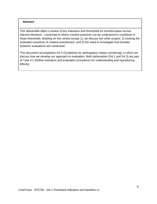#### **Abstract**

This deliverable offers a review of key indicators and thresholds for transformation across relevant literature - connected to where creative practices can be understood to contribute to those thresholds. Building on this review (scope 1), we discuss two other scopes: 2) tracking the evaluation practices of creative practitioners; and 3) the need to investigate how broader systemic evaluations are conducted.

This document accompanies D4.3 (Guidelines for participatory impact monitoring), in which we discuss *how we develop* our approach to evaluation. Both deliverables (D4.1 and D4.3) are part of Task 4.1 (Define indicators and evaluation procedures for understanding and reproducing effects).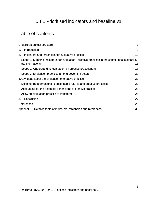## D4.1 Prioritised indicators and baseline v1

## Table of contents:

| CreaTures project structure                                                                                         | $\overline{7}$ |
|---------------------------------------------------------------------------------------------------------------------|----------------|
| Introduction<br>1.                                                                                                  | 9              |
| Indicators and thresholds for evaluative practice<br>2.                                                             | 13             |
| Scope 1: Mapping indicators for evaluation - creative practices in the context of sustainability<br>transformations | 13             |
| Scope 2: Understanding evaluation by creative practitioners                                                         | 18             |
| Scope 3: Evaluation practices among governing actors                                                                | 20             |
| 3. Key ideas about the evaluation of creative practice                                                              | 22             |
| Defining transformations to sustainable futures and creative practices                                              | 22             |
| Accounting for the aesthetic dimensions of creative practice                                                        | 23             |
| Allowing evaluation practice to transform                                                                           | 25             |
| Conclusion<br>3.                                                                                                    | 27             |
| References                                                                                                          | 28             |
| Appendix 1: Detailed table of indicators, thresholds and references                                                 | 33             |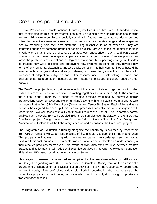## <span id="page-6-0"></span>CreaTures project structure

Creative Practices for Transformational Futures (CreaTures) is a three-year EU funded project that investigates the role that transformational creative projects play in helping people to imagine and to build environmentally and socially sustainable futures. Artists, curators, designers and citizen-led collectives are already reacting to problems such as climate change and mass species loss by mobilising from their own platforms using distinctive forms of expertise. They are catalysing change by gathering groups of people ("publics") around issues that matter to them in a variety of domains and using a range of aesthetic, affect-driven, playful and participatory interventions that have multi-layered impacts across a range of scales. Creative practitioners move the public towards social and ecological sustainability by supporting change in lifestyles, co-creating new ways of being, and prototyping new systems. In doing so, they develop new forms of environmental citizenship, and also social cohesion—to help communities withstand the environmental changes that are already underway and take change into their own hands for purposes of adaptation, mitigation and better resource use. This interlinking of social and environmental transformation, inseparable from attending to issues of culture, underpins our research.

The CreaTures project brings together an interdisciplinary team of eleven organisations including both academics and creative practitioners (acting together as co-researchers). At the centre of the project is the Laboratory, a series of creative projects organised by innovative design organisations Superflux (UK) and Hellon (Finland); along with long-established arts and cultural producers Furtherfield (UK), Kersnikova (Slovenia) and Zemos98 (Spain). Each of these diverse partners has agreed to open up their creative processes for collaborative investigation with researchers. We call these works Experimental Productions (ExPs). The Laboratory format enables each particular ExP to be studied in detail as it unfolds over the duration of the three-year CreaTures project. Design researchers from the Aalto University School of Arts, Design and Architecture in Finland lead the Laboratory research and co-ordinate the CreaTures project.

The Programme of Evaluation is running alongside the Laboratory, stewarded by researchers from Utrecht University's Copernicus Institute of Sustainable Development in the Netherlands. This programme involves working with the creative partners to co-design new methods to evaluate their contributions to sustainable transformations and to develop an understanding of their creative practices themselves. This strand of work also explores links between creative practice and policymaking, with additional expertise provided by the Open Knowledge Foundation Finland and UK-based sustainability organisation Sniffer.

This program of research is connected and amplified to other key stakeholders by RMIT's Carefull Design Lab (working with RMIT Europe based in Barcelona, Spain), through the duration of a programme of Engagement and Dissemination activities. Finally, the Observatory (coordinated by the University of Sussex) plays a dual role: firstly in coordinating the documenting of the Laboratory projects and contributing to their analysis, and secondly developing a repository of transformational cases.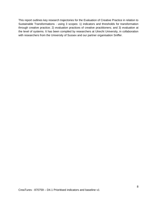This report outlines key research trajectories for the Evaluation of Creative Practice in relation to Sustainable Transformations - using 3 scopes: 1) indicators and thresholds for transformation through creative practice; 2) evaluation practices of creative practitioners; and 3) evaluation at the level of systems. It has been compiled by researchers at Utrecht University, in collaboration with researchers from the University of Sussex and our partner organisation Sniffer.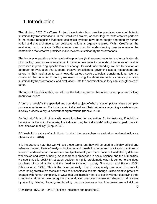## <span id="page-8-0"></span>1.Introduction

The Horizon 2020 CreaTures Project investigates how creative practices can contribute to sustainability transformations. In the CreaTures project, we work together with creative partners in the shared recognition that socio-ecological systems have been deeply degraded by human action and that a change to our collective actions is urgently required. Within CreaTures, the evaluation work package (WP4) creates new tools for understanding how to evaluate the contribution that creative practices make towards sustainability transformations.

This involves unpacking existing evaluative practices (both research-oriented and organisational), plus trialling new modes of evaluation to provide new ways to understand the value of creative processes in producing specific forms of change. Beyond understanding, we aim to develop an approach to evaluation that supports creative practitioners, governing actors, researchers and others in their aspiration to work towards various socio-ecological transformations. We are convinced that in order to do so, we need to bring the three elements - creative practices, sustainability transformations, and evaluation - into the conversation so they can strengthen each other.

Throughout this deliverable, we will use the following terms that often come up when thinking about evaluation:

A 'unit of analysis' is the specified and bounded subject of what any attempt to analyse a complex process may focus on. For instance: an individual and their behaviour regarding a certain topic; a policy process; a city; a network of organizations (Babbie, 2020).

An 'indicator' is a unit of analysis, operationalized for evaluation. So for instance, if individual behaviour is the unit of analysis, the indicator may be 'individuals' willingness to participate in local decision making' (Jupp, 2006).

A 'threshold' is a state of an indicator to which the researchers or evaluators assign significance (Jeakins et al. 2014).

It is important to note that we will use these terms, but they will be used in a highly critical and reflexive manner. Units of analysis, indicators and thresholds come from positivistic traditions of research and evaluation that assume an objective reality out there that is not mediated by different worldviews and ways of being. As researchers embedded in social science and the humanities, we see that this positivist research position is highly problematic when it comes to the deep problems of sustainability and the need to transform society (Funtowicz and Ravetz 2008; Gibbons et al. 1994). This is the case generally - but it is especially true when it comes to researching creative practices and their relationships to societal change - since creative practices engage with human complexity in ways that are incredibly hard to box in without destroying their complexity. Moreover, we recognize that evaluation practices themselves shape social realities by selecting, filtering, framing and labelling the complexities of life. The reason we will still use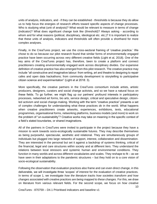units of analysis, indicators, and - if they can be established - thresholds is because they do allow us to help focus the energies of research efforts toward specific aspects of change processes. Who is studying what (unit of analysis)? What would be relevant to measure in terms of change (indicator)? What does significant change look like (threshold)? Always asking - according to whom and for what reasons (political, disciplinary, ideological etc. etc.)? It is important to realize that these units of analysis, indicators and thresholds will often provide a shorthand for more complex analyses.

Finally, in the CreaTures project, we use the cross-sectoral framing of 'creative practice.' We chose to do so because our pilot research found that similar forms of environmentally engaged practice have been occurring across very different creative fields (Light et al, 2018). One of the key aims of the CreaTures project has, therefore, been to create a platform and connect practitioners creating environmentally engaged work across disciplinary divides. Our expansive definition of creative practice has also emerged from this pilot research. The creative practice may include "all constructive and imaginative labour: from writing, art and theatre to designing to repair cafes and open data hackathons; from community development to storytelling to participative citizen science and experimentation" (Light et al 2018: 3).

More specifically, the creative partners in the CreaTures consortium include artists, artistic producers, designers, curators and social change activists, and so we have a natural focus on these fields. To go further, we might flag up our partners' profound interests in participatory processes, networked art forms, bio arts, service design, critical and speculative design, citizenled activism and social change-making. Working with the term "creative practice" presents a set of complex challenges for understanding what these practices *do* in the world. What happens when creative practitioners create artworks, experiences, exhibitions, texts, educational programmes, organisational forms, networking platforms, business models (and more) to work on the problem of "un-sustainability"? Creative works may take on meaning in the specific context of a field's stated boundaries, or shared imaginations.

All of the partners in CreaTures were invited to participate in the project because they have a mission to work towards socio-ecologically sustainable futures. They may describe themselves as being purposeful, spectacular, aesthetic and relational. They are simultaneously groups of individuals but plugged into large networks of support, interest, collaboration and dissemination. They are interested in the personal but set it against a backdrop of systems thinking, critical of the financial, legal and care structures within society and at different tiers. They understand the relations between local stressors and systemic human and environmental conditions. They function in many worlds and across different vocabularies and scales. They reshape to fit – as we have seen in their adaptations to the pandemic structures – but they hold on to a core vision of socio-ecological sustainability.

Following the observation that evaluation practices also frame and can even direct change, in this deliverable, we will investigate three 'scopes' of interest for the evaluation of creative practices. In terms of scope 1, we investigate *how the literature tracks how societies transform and how changes associated with creative practices are being mapped to these changes.* For this, we draw on literature from various relevant fields. For the second scope, we focus on *how creative*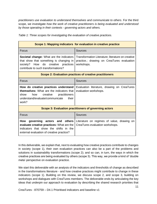*practitioners use evaluation to understand themselves and communicate to others*. For the third scope, we investigate *how the work of creative practitioners is being evaluated and understood by those operating in their contexts - governing actors and others.* 

| Table 1: Three scopes for investigating the evaluation of creative practices. |
|-------------------------------------------------------------------------------|
|-------------------------------------------------------------------------------|

|                                                                                                                                                                                          | Scope 1: Mapping indicators for evaluation in creative practice                                               |  |  |  |  |  |
|------------------------------------------------------------------------------------------------------------------------------------------------------------------------------------------|---------------------------------------------------------------------------------------------------------------|--|--|--|--|--|
| Focus                                                                                                                                                                                    | Sources                                                                                                       |  |  |  |  |  |
| <b>Societal change:</b> What are the indicators<br>that show that something is changing in<br>How do creative<br>practices<br>society?<br>contribute to such transformations?            | Transformation Literature; literature on creative<br>practice.; drawing on CreaTures evaluation<br>workshops. |  |  |  |  |  |
|                                                                                                                                                                                          | Scope 2: Evaluation practices of creative practitioners                                                       |  |  |  |  |  |
| Focus                                                                                                                                                                                    | Sources                                                                                                       |  |  |  |  |  |
| How do creative practices understand<br><b>themselves:</b> What are the indicators that<br>show<br>creative<br>practitioners<br>how<br>understand/evaluate/communicate<br>their<br>work? | Evaluation literature, drawing on CreaTures<br>evaluation workshops.                                          |  |  |  |  |  |
|                                                                                                                                                                                          | Scope 3: Evaluation practitioners of governing actors                                                         |  |  |  |  |  |
| Focus                                                                                                                                                                                    | <b>Sources</b>                                                                                                |  |  |  |  |  |
| governing actors and others<br>How<br>evaluate creative practices: What are the<br>indicators that show the shifts in the<br>external evaluation of creative practice?                   | Literature on regimes of value, drawing on<br>CreaTures evaluation workshops.                                 |  |  |  |  |  |

In this deliverable, we explain that, next to evaluating how creative practices contribute to changes in society (scope 1), their own evaluation practices can also be a part of the problems and solutions in sustainability transformations (scope 2); and so can, in turn, the ways in which the creative practices are being evaluated by others (scope 3). This way, we provide a kind of 'double meta'-perspective on evaluation practice.

We start this deliverable with an analysis of the indicators and thresholds of change as described in the transformations literature - and how creative practices might contribute to change in these indicators (scope 1). Building on this review, we discuss scope 2, and scope 3, building on workshops and dialogues with CreaTures members. The deliverable ends by articulating the key ideas that underpin our approach to evaluation by describing the shared research priorities that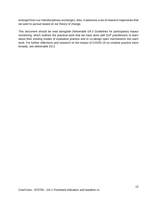emerged from our interdisciplinary exchanges. Also, it advances a set of research trajectories that we want to pursue based on our theory of change.

This document should be read alongside Deliverable D4.3 Guidelines for participatory impact monitoring, which outlines the practical work that we have done with ExP practitioners to learn about their existing modes of evaluative practice and to co-design open mechanisms into each work. For further reflections and research on the impact of COVID-19 on creative practice more broadly, see deliverable D2.2.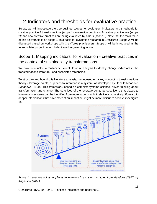## <span id="page-12-0"></span>2.Indicators and thresholds for evaluative practice

Below, we will investigate the tree outlined scopes for evaluation: indicators and thresholds for creative practice & transformations (scope 1); evaluation practices of creative practitioners (scope 2); and how creative practices are being evaluated by others (scope 3). Note that the main focus of this deliverable is on scope 1 as a basis for evaluation research in CreaTures. Scope 2 will be discussed based on workshops with CreaTures practitioners. Scope 3 will be introduced as the focus of later project research dedicated to governing actors.

### <span id="page-12-1"></span>Scope 1: Mapping indicators for evaluation - creative practices in the context of sustainability transformations

We have conducted a multi-dimensional literature analysis to identify change indicators in the transformations literature - and associated thresholds.

To structure and bound this literature analysis, we focused on a key concept in transformations theory - leverage points, or places to intervene in a system, as developed by Donella Meadows (Meadows, 1999). This framework, based on complex systems science, drives thinking about transformation and change. The core idea of the leverage points perspective is that places to intervene in systems can be identified from more superficial but relatively more straightforward to deeper interventions that have more of an impact but might be more difficult to achieve (see figure 1).



*Figure 1. Leverage points, or places to intervene in a system. Adapted from Meadows (1977) by Angheliou (2018).*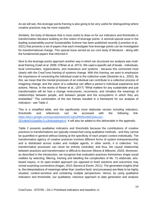As we will see, this leverage points framing is also going to be very useful for distinguishing where creative practices may be more impactful.

Similarly, the body of literature that is most useful to draw on for our indicators and thresholds is transformation literature building on this notion of leverage points. A seminal special issue in the leading sustainability journal Sustainability Science has been published recently (Leventon et al., 2021) that presents a set of papers that each investigate how leverage points can be investigated for transformational change. This special issue served as our core body of literature - along with the fundamental papers that informed it.

Next to the leverage points approach another way in which we structured our analysis was multilevel framing (Cash et al. 2006; O'Brien et al. 2013). We used a specific set of levels - individuals, local communities, organizations, and institutions and systems - because this connected most clearly with the CreaTures framing of systems change. With this framing, we want to emphasize the importance of connecting the individual scale to the collective scale (Stoetzler et a., 2002). By this, we mean that the mental processes of an individual can contribute to a collective process of imagining change, and the vision of a collective can affect a person's individual experience and actions. Hence, In the words of Abson et al., (2017) "What matters for any sustainable and just transformation will be how a change restructures, reconnects, and remakes the meanings of relationships between people, and between people and the ecosystems in which they are embedded." The combination of the two frames resulted in a framework for our analysis of indicators - see Table 2.

This is a simplified table, and the significantly more elaborate version including indicators, thresholds and references can be accessed with the following link[:](https://docs.google.com/spreadsheets/d/11ghulRbMnwlMZwetcusrr-ZErolbNOUDad0kv7Lx3N4/edit#gid=0) [https://docs.google.com/spreadsheets/d/11ghulRbMnwlMZwetcusrr-](https://docs.google.com/spreadsheets/d/11ghulRbMnwlMZwetcusrr-ZErolbNOUDad0kv7Lx3N4/edit#gid=0)[ZErolbNOUDad0kv7Lx3N4/edit#gid=0.](https://docs.google.com/spreadsheets/d/11ghulRbMnwlMZwetcusrr-ZErolbNOUDad0kv7Lx3N4/edit#gid=0) It will also be added to this deliverable in the appendix.

Table 2 presents qualitative indicators and thresholds because the contributions of creative practices to transformations are typically researched using qualitative methods - and they cannot be quantified in general without looking at the specificity of each project context individually. The transformative agency of creative practices involves different forms of system entrepreneurship and is distributed across scales and multiple agents, in other words, it is collective. Yet, transformative processes can never be entirely controlled, and thus, the causal relationship between practices and transformation is difficult to discover (Moore & Milkoreit, 2020). Moreover, as described in the introduction, we recognize that evaluation practices themselves shape social realities by selecting, filtering, framing and labelling the complexities of life. To elaborate, artsbased inquiry, in its open-ended approach (as opposed to fixed solutions and outcomes) may reveal surprising connections (Kagan, 2010; Barona & Eisner, 2011). The generated insights (that is, the interpretations of meanings rather than 'positive facts' and processes) are likely to be highly situated, context-sensitive and containing multiple perspectives. Hence, by using qualitative indicators and thresholds, our qualitative, inductive approach to data generation and analysis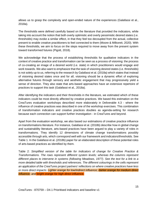allows us to grasp the complexity and open-ended nature of the experiences (Galafassi et al., 2018a).

The thresholds were defined carefully based on the literature that provided the indicators, while taking into account the notion that both overly optimistic and overly pessimistic desired states (i.e. thresholds) may evoke a similar effect, in that they feel too decoupled from the actual, collective present to enable creative practitioners to feel connected to them (Moore & Milkoreit, 2020). With these thresholds, we aim to focus on the steps required to move away from the present system toward transformed futures (Pigott, 2018).

We acknowledge that the process of establishing thresholds for qualitative indicators in the context of creative practice and transformation can be seen as a process of visioning: the process of co-creating an image of a desired world (i.e. state) in which practitioners would engage and work towards. We also want to emphasize that the task of visioning desired states (i.e. thresholds) is not solely up to us, referring to the research by Galafassi et al. (2018a) which states that instead of visioning desired states once and for all, visioning should be a dynamic effort of exploring alternative futures through sensory and aesthetic engagement that may progressively yield a sense of direction. They also state that arts-based approaches have an extensive repertoire of practices to support this task (Galafassi et al., 2018a).

After identifying the indicators and their thresholds in the literature, we estimated which of these indicators could be most directly affected by creative practices. We based this estimation on the CreaTures evaluation workshops described more elaborately in Deliverable 4.3 - where the influence of creative practices was described in one of the workshop exercises. This combination of transformation indicators and creative practices doubles as agenda-setting for research because each connection can support further investigation - in CreaTures and beyond.

Apart from the evaluation workshop, we also based our estimations of creative practice influence on transformations literature. For instance, Galafassi et al. (2018b) describe how in global change and sustainability literature, arts-based practices have been argued to play a variety of roles in transformations. They identify 12 dimensions of climate change transformations possibly accessible through arts, which correspond well with our framework and indicators/thresholds. See Table 1. In the Galafassi et al. (2018b) paper for an elaborated description of these potential roles of arts-based practices as identified by them.

Table 2: *Simplified version of the table for Indicators of change for Creative Practice & Transformations. The rows represent different system levels; whereas the columns represent different places to intervene in systems (following Meadows, 1977). See the text for a link to a more detailed table with thresholds and references. The different colourings in the cells represent an application of the CreaTures project partners' reflections on where creative practices have less or more direct impacts: Lighter orange for low/indirect influence; darker orange for medium direct influence; and bright orange for high direct influence.*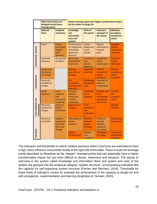|                                   | <b>Most interventions are</b><br>designed around these<br>leverage points |                                                                     | Deeper leverage points have higher transformative impact,<br>but are harder to design for. |                                                     |                                                                            |                                                              |  |  |
|-----------------------------------|---------------------------------------------------------------------------|---------------------------------------------------------------------|--------------------------------------------------------------------------------------------|-----------------------------------------------------|----------------------------------------------------------------------------|--------------------------------------------------------------|--|--|
|                                   | <b>Material</b><br>flows                                                  | <b>Feedback</b><br>and delays                                       | <b>Knowledge</b><br>and<br>information<br>flows and<br>systems                             | <b>Rules of</b><br>the system                       | <b>Intentions</b><br>and goals of<br>the system                            | Mindsets,<br>paradigms,<br>worldviews,<br>values             |  |  |
| Institutional/systemic            | Power                                                                     | Formal<br>institutions<br>support<br>local<br>dynamics              | Infrastructures<br>for imaginaries<br>and default<br>options for<br>decisions              | System<br>design/stru<br>ctural<br>change           | Aligned<br><b>interventions</b><br><b>towards</b><br>goals                 | <b>Question</b><br>mental<br>models and<br>narratives        |  |  |
|                                   | Economic<br>measures                                                      | Accountabil<br>ity effects                                          | <b>Systems for</b><br>sustainability<br>innovation                                         | <b>Transforma</b><br>tive<br>actions'<br>legitimacy | Sustainable<br>whole<br>system goals                                       | <b>Dominant</b><br>system<br>definitions                     |  |  |
|                                   | <b>Energy and</b><br>motivation<br>for change                             |                                                                     | <b>Opening</b><br>spaces for co-<br>creating                                               | Organisati-<br>onal trust                           | <b>Political</b><br>economy of<br>power<br>structures                      | <b>Political</b><br>economy of<br>power<br><b>structures</b> |  |  |
| Organizational                    | <b>Resources</b><br>available for<br>change                               |                                                                     | Self-<br>assessment<br>techniques for<br>reflexivity                                       | <b>Challenging</b><br>established<br>rules          | <b>Openness of</b><br>power in<br>relationships                            |                                                              |  |  |
|                                   | Social<br>practices                                                       | Local<br>networks<br>and<br>communiti<br>es gaining                 | Interplay<br>between<br>formal and<br>informal<br><b>institutions</b>                      | <b>Sustaining</b><br>social<br>networks             | <b>Building local</b><br>trust,<br>maintaining<br>experience<br>and values | <b>Inclusion</b><br>less<br>powerful<br>voices               |  |  |
| Local networks and<br>communities | <b>Resources</b><br>available for<br>change                               | access to<br>formal<br>institutions                                 | Spaces for co-<br>creating                                                                 | From<br>symbolic to<br>real<br>participatio<br>n    |                                                                            | <b>Building</b><br>affection                                 |  |  |
|                                   | <b>Resources</b><br>and buffer                                            | <b>Adaptive</b><br>capacity to<br>cope with<br>structural<br>change | <b>Skills influence</b><br>system<br>structure.                                            | Power to<br>influence<br>system<br>structure        | <b>Efficacy in</b><br>altering<br>different<br>aspects of<br>the system    | Questioning<br>assumptions                                   |  |  |
| Individual                        |                                                                           |                                                                     | <b>System</b><br>entrepreneurs                                                             | <b>Reward</b><br>and<br>recognition                 | <b>Willingness</b><br>to change                                            | <b>Sustainable</b><br>worldviews/<br>paradigms               |  |  |

The indicators and thresholds on which creative practices within CreaTures are estimated to have a high, direct influence concentrate mostly at the right side of the table. These include the leverage points described by Meadows as the "deeper" leverage points that can potentially have a higher transformative impact but are more difficult to devise, implement and measure. The places to intervene in the system called knowledge and information flows and system and rules of the system are grouped into the analytical category "system structure", encompassing indicators like the capacity for self-organising system structure [\(Fischer and Riechers, 2019\)](https://www.sciencedirect.com/science/article/pii/S0264275119313265?casa_token=0OTa8q3QFxUAAAAA:afVGOMJRF0GIg9CtCh1TEegqplFqEd84c1M6NF2RW2X72FK5sVqcN693MBJNtr0Fdp0_5LF-HQ#bb0190). Thresholds for these kinds of indicators involve for example the achievement of the capacity to design for and with emergence, experimentation and learning (Angheloiu & Tennant, 2020).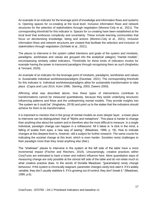An example of an indicator for the leverage point of knowledge and information flows and systems is: Opening spaces for co-creating at the local level. Inclusive information flows and network structures for the selection of stakeholders through negotiation (Moreno-Cely et al., 2021). The corresponding threshold for this indicator is: Spaces for co-creating have been established at the local level that embraces complexity and uncertainty. These include learning communities that focus on decolonising knowledge, being and actions (Moreno-Cely et al., 2021). Inclusive information flows and network structures are created that facilitate the selection and inclusion of stakeholders through negotiation (Schlaile et al., 2021).

The places to intervene in the system called intentions and goals of the system and mindsets, paradigms, worldviews and values are grouped into the analytical category "mental models", encompassing similarly called indicators. Thresholds for these kinds of indicators involve for example having the power to transcend paradigms through recognising them as such (Angheloiu & Tennant, 2020).

An example of an indicator for the leverage point of mindsets, paradigms, worldviews and values is: Sustainable individual worldviews/paradigms (Davelaar, 2021). The corresponding threshold for this indicator is: Individual worldviews/paradigms allow for sustainable transformation to take place (Capra and Luisi 2014; Kuhn 1996; Sterling, 2003; Zweers 2000).

Affirming what was described above, how these types of interventions contribute to transformations cannot be measured quantitatively, because they tackle underlying structures influencing patterns and flows and the underpinning mental models. They provide insights into "the system as it could be" (Angheloiu, 2018) and point us to the states that the indicators should achieve for them to be transformative.

It is important to mention that in the group of mental models an even deeper layer, -a lower place to intervene can be distinguished: that of "Myths and metaphors". This place is harder to change than anything else about the system and is therefore also the most difficult to measure. In a single individual, paradigm change can happen in a millisecond. All it takes is "a click in the mind, a falling of scales from eyes, a new way of seeing." (Meadows, 1999, p. 18). How to indicate changes at this deepest level is, however, still a subject for further research. The same counts for indicating the societal change at this level, which is even harder. Societies resist challenges to their paradigm more than they resist anything else (Ibid.).

The "shallower" places to intervene in the system at the left side of the table have a more incremental impact (Fischer and Riechers, 2019). Unsurprisingly, creative practices within CreaTures are estimated to have a lower and indirect influence here. More quantitative ways of measuring change are only possible at the utmost left side of the table and do not relate much to what creative practice does. In the words of Donella Meadows: "[parameters] *rarely change behaviour*. If the system is chronically stagnant, parameter changes rarely kick-start it. If it's widely variable, they don't usually stabilize it. If it's growing out of control, they don't break it." (Meadows, 1999, p.6).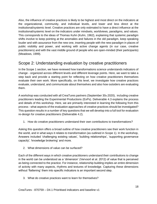Also, the influence of creative practices is likely to be highest and most direct on the indicators at the organizational, community, and individual levels, and lower and less direct at the institutional/systemic level. Creative practices are only estimated to have a direct influence at the institutional/systemic level on the indicators under mindsets, worldviews, paradigms, and values. This corresponds to the ideas of Thomas Kuhn (Kuhn, 1962), explaining that systemic paradigm shifts involve to keep pointing at the anomalies and failures in the old paradigm, keep speaking louder and with assurance from the new one, inserting people with the new paradigm in places of public visibility and power, and working with active change agents (in our case, creative practitioners) and with the vast middle ground of people who are open-minded (their participants) (Meadows, 1999).

#### <span id="page-17-0"></span>Scope 2: Understanding evaluation by creative practitioners

In the Scope 1 section, we have reviewed how transformations science understands indicators of change - organized across different levels and different leverage points. Here, we want to take a step back and provide a starting point for reflecting on how creative practitioners themselves evaluate their own work. More specifically, on this level, we investigate how creative practices evaluate, understand, and communicate about themselves and also how outsiders are evaluating them.

A workshop was conducted with all CreaTures partners (September  $30<sub>th</sub> 2020$ ), including creative practitioners leading the Experimental Productions (ExPs). Deliverable 4.3 explains the process and details of this workshop. Here, we are primarily interested in learning the following from this process - what aspects of the evaluation approaches of creative practices should be investigated? This question results in a number of key questions that we will develop into a full tool for evaluation re-design for creative practitioners (Deliverable 4.2).

1. How do creative practitioners understand their own contributions to transformations?

Asking this question offers a broad outline of how creative practitioners see their work function in the world, and in what ways it relates to transformation (as outlined in Scope 1). In the workshop, Answers included 'challenging existing values', 'building relationships', 'supporting governance capacity', 'knowledge brokering' and more.

2. What dimensions of value can be surfaced?

Each of the different ways in which creative practitioners understand their contributions to change in the world can be understood as a 'dimension' (Vervoort et al. 2012) of value that is perceived as being connected to the practice. For instance, relationship building implies an entire dimension of activity with many aspects, rhythms and textures of knowledge. Capturing these dimensions without 'flattening' them into specific indicators is an important second step.

3. What do creative practices want to learn for themselves?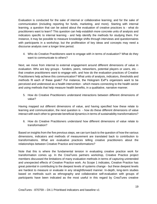Evaluation is conducted for the sake of internal or collaborative learning; and for the sake of communication (including reporting for funds, marketing, and more). Starting with internal learning, a question that can be asked about the evaluation of creative practices is - what do practitioners want to learn? This question can help establish more concrete units of analysis and indicators specific to internal learning - and help identify the methods for studying them. For instance, it may be possible to measure knowledge shifts through interviews and questionnaires with participants in a workshop; but the proliferation of key ideas and concepts may need a discourse analysis over a longer time period.

4. Who do Creative Practitioners want to engage with in terms of evaluation? What do they want to communicate to others?

Next, we move from internal to external engagement around different dimensions of value in evaluation. Who are key groups - funders, peers, networkers, potential players or users, etc. that creative practitioners want to engage with, and how do the evaluation practices of Creative Practitioners help achieve this communication? What units of analysis, indicators, thresholds and methods fit each of these goals? For instance, the Hologram ExP's organizers want to be perceived and understood as a health intervention - which means connecting to the health sector and using methods that help measure health benefits, in a qualitative, narrative manner.

5. How do Creative Practitioners understand interactions between different dimensions of value?

Having mapped out different dimensions of value, and having specified how these relate to learning and communication, the next question is - how do these different dimensions of value interact with each other to generate beneficial dynamics in terms of sustainability transformations?

6. How do Creative Practitioners understand how different dimensions of value relate to transformation?

Based on insights from the five previous steps, we can turn back to the question of how the various dimensions, indicators and methods of measurement are translated back to contribution to transformations. What are evaluative practices telling creative practitioners about the relationships between Creative Practice and transformations?

Note that this is where the fundamental tension in evaluating creative practice work for transformation comes up. In the CreaTures partners workshop, Creative Practice project members discussed the limitations of many evaluation methods in terms of capturing unintended and unexpected effects of Creative Practice work. As Scope 1 indicates, Creative Practice has great potential in contributing to the deepest levels of systems change - but these deepest levels are hardest to measure or evaluate in any straightforward manner. In-depth, long-term studies based on methods such as ethnography and collaborative self-evaluation with groups of participants have been indicated as the most useful in this regard by CreaTures creative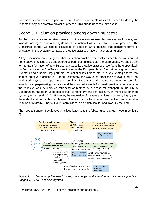practitioners - but they also point out some fundamental problems with the need to identify the impacts of any one creative project or process. This brings us to the third scope.

#### <span id="page-19-0"></span>Scope 3: Evaluation practices among governing actors

Another step back can be taken - away from the evaluations used by creative practitioners, and towards looking at how wider systems of evaluation limit and enable creative practices. The CreaTures partner workshops discussed in detail in D4.3 indicate that dominant forms of evaluation in the systemic contexts of creative practices have a major steering effect.

A key conclusion that emerged is that evaluation practices themselves need to be transformed. For creative practices to be understood as contributing to societal transformations, we should aim for the transformation of how Europe evaluates its creative practices. We focus here specifically on Europe since the CreaTures project is set at the European level. Evaluation by governments, investors and funders, key partners, educational institutions etc. is a key strategic force that shapes creative practices in Europe. Ultimately, the way such practices are evaluated or not evaluated plays a large part in their survival. Evaluation and metrics are important tools for enacting and perpetuating practices, and they can be key tools for transformation. As an example, the reflexive and deliberative reframing of metrics of success for transport in the city of Copenhagen has been used successfully to transform the city into a much more bike-oriented system (Jensen et al. 2017). However, the evaluation of creative practices is currently highly pathdependent and tied to historic biases. It is also highly fragmented and lacking transformative impulse or strategy. Finally, it is, in many cases, also highly insular and inwardly focused.

The need to transform evaluative practices leads us to the following conceptual model (see figure 2).



*Figure 2. Understanding the need for regime change in the evaluation of creative practices. Scopes 1, 2 and 3 are all integrated.*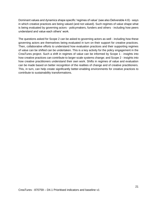Dominant values and dynamics shape specific 'regimes of value' (see also Deliverable 4.6) - ways in which creative practices are being valued (and not valued). Such regimes of value shape what is being evaluated by governing actors - policymakers, funders and others - including how peers understand and value each others' work.

The questions asked for Scope 2 can be asked to governing actors as well - including how these governing actors are themselves being evaluated in turn on their support for creative practices. Then, collaborative efforts to understand how evaluation practices and their supporting regimes of value can be shifted can be undertaken. This is a key activity for the policy engagement in the CreaTures project. Such a shift in regimes of value can be informed by Scope 1 - insights into how creative practices can contribute to larger-scale systems change; and Scope 2 - insights into how creative practitioners understand their own work. Shifts in regimes of value and evaluation can be made based on better recognition of the realities of change and of creative practitioners. This, in turn, can help create significantly better-enabling environments for creative practices to contribute to sustainability transformations.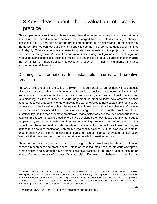# <span id="page-21-0"></span>3.Key ideas about the evaluation of creative practice

This supplementary section articulates the key ideas that underpin our approach to evaluation by describing the shared research priorities that emerged from our interdisciplinary exchanges discussed in D4.3, and building on the preceding chapters in this deliverable. In this section of the deliverable, we connect our thinking to specific communities, so the language and framings shift slightly. These communities represent important stakeholders in the project (e.g. creative practitioners, policymakers) as well as our various disciplinary backgrounds in arts, design and various domains of the social sciences. We believe that this is a productive approach to managing the dynamics of interdisciplinary knowledge production - finding alignments and also accommodating differences.<sup>1</sup>

### <span id="page-21-1"></span>Defining transformations to sustainable futures and creative practices

The CreaTures project aims to build on the work in this deliverable to further identify those aspects of creative practices that contribute most effectively to positive socio-ecological sustainable transformation. This is a normative enterprise to some extent, where we set "transformation" and "sustainability" as the bounds of a value judgement, in order to learn how creative practice contributes to our shared challenge of moving the world towards a more sustainable footing. Our project aims to be inclusive of both the epistemic cultures of sustainability science *and* creative practices, which produce different forms of knowledge in response to the problems of "unsustainability". In the face of climate breakdown, mass extinctions and the toxic consequences of capitalist production, creative practitioners have developed their own ideas about what needs to happen now, and in many instances, they are assembling their own knowledge canons. In this project, we, therefore, seek a wide definition of sustainability that includes known and urgent actions (such as decarbonisation) named by sustainability science - but that also makes room for experimental ways of life that answer recent calls for "system change" or system reimagination. We posit that these may form the core contribution made by creative practices.

Therefore, we have begun the project by opening up these two terms for shared exploration between researchers and practitioners. This is an essential step because previous attempts at interdisciplinary collaboration have demoted creative practices to the role of communicating an already-formed "message" about "sustainable" lifestyles or behaviours, leading to

<sup>&</sup>lt;sup>1</sup> We will continue our interdisciplinary exchanges as we create research outputs for the project, including writing research contributions for different research communities, and engaging the relevant stakeholders from within these communities. We envisage collecting these in book form towards the end of the project. The modular nature of the project's final output - the Open Creative Practice Framework - also gives us a way to aggregate the diverse insights into a coherent format.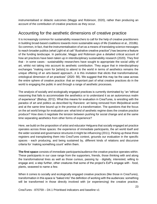instrumentalised or didactic outcomes (Maggs and Robinson, 2020), rather than producing an account of the contribution of creative practices as they occur.

#### <span id="page-22-0"></span>Accounting for the aesthetic dimensions of creative practice

It is increasingly common for sustainability researchers to call for the help of creative practitioners in building broad-based coalitions towards more sustainable ways of life (Galafassi et al., 2018b). So common, in fact, that the instrumentalisation of art as a means of translating science messages to reach broader publics (what Light et al call "illustrative creative practice") has become a feature of the funding landscape. In particular, Maggs and Robinson give a detailed critical account of how art practices have been taken up in interdisciplinary sustainability research (2020). They find that - in some cases - sustainability researchers have sought to appropriate the social utility of art, whilst not taking into account its aesthetic contribution. They argue that in interdisciplinary exchanges "making room for [artists] to attend to the world in terms of aesthetics remains the unique offering of an arts-based approach...it is this invitation that elicits that transformational, ontological dimension of art practices" (2020: 56). We suggest that this may be the case across the entire sphere of creative practice: that an important part of what creative practices do in the world is engaging the public in and through a range of aesthetic processes.

The analysis of socially and ecologically engaged practices is currently dominated by "an "ethical reasoning that fails to accommodate the aesthetics or to understand it as an autonomous realm of experience" (Bishop, 2012). What this means for evaluation in CreaTures, is wrestling with the paradox of art and politics as described by Ranciere: art being removed from life/political world and at the same time bound up in the promise of a transformation. The questions that the focus on the art world brings for evaluation are: what kind of aesthetic regime does the creative practice produce? How does it negotiate the tension between pushing for social change and at the same time separating aesthetics from other forms of experience?

Here, we build on the proposition of artist and educator Helguera that socially engaged art practice operates across three spaces: the experience of immediate participants, the art world itself and the wider societal and governance structures it might be influencing (2011). Picking up these three registers and transplanting them into CreaTures context, grounds our evaluation in the specific spaces - each producing, and being sustained by, different kinds of relations and discursive criteria for 'making something count' within them.

**The first space** consists of immediate participants/audience the creative practice operates within. These participants in our case range from the supporters, friends, those thinking with and along the transformational lines as well as those curious, passing by - digitally, interested, willing to engage and, a step further, other creatures that some of the project's ExP's engage with - food, plants, seaweed to name a few.

When it comes to socially and ecologically engaged creative practices (like those in CreaTures), transformation in this space is "baked into" the definition of working with the audiences: something will be transformed in those directly involved with (or experiencing) the creative practice.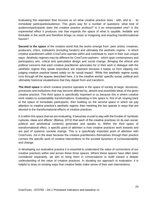Evaluating this aspiration then focuses us on what creative practice does - with, and to - its immediate participants/audience. This gives way for a number of questions: what kind of audience/participants does the creative practice produce? Is it an emancipated one? Is the experiential effect it produces one that expands the space of what is sayable, feelable and thinkable in the world and therefore brings us closer to imagining and enacting transformational futures?

**Second is the space** of the creative world that the works emerge from- peer artists, creatives, producers, critics, institutions (including funders) and ultimately the aesthetic regime - in which creative practitioners within CreaTures operate within and contribute to, each in their own unique ways. Aesthetic regimes may be different for CreaTures partners - which span contemporary and participatory arts, critical and speculative design and social change. Bringing the ethical and political concerns that each creative practitioner advocates for in their work in dialogue with the aesthetic regime they speak to/produce are important because it keeps us from slipping into judging creative practice based solely on its 'social impact'. While this aesthetic regime surely runs through all the spaces described here, it is the creative worlds' specific social, political and ultimately historical situatedness that they depart from and transform.

**The third space** in which creative practice operates in the space of society at large, structures, processes and institutions that may become affected by, absorb and assimilate ideas of the given creative practice. This third space is specifically important to us because this is where creative work relates to sustainability transformations. Evaluating in this space is, first of all, looping back to the space of immediate participants, then building on the second space in which we pay attention to creative practice's aesthetic regime; then meshing the two spaces in ways that are attuned to the transformational effects of creative practices.

It is within this space that we are evaluating, it becomes crucial to stay with the trouble of "symbolic ruptures, ideas and affects" (Bishop, 2012) that each of the creative practices (in its own social, political and aesthetical contexts) generates and speaks to. Within the third space of transformational effect, a specific point of attention is how creative practices work towards and are part of systemic societal change. This is a specifically important point of attention with CreaTures, not in the least because the creative practitioners themselves through their practice connect the specific work of creative interventions to the societal dynamics of (un)sustainability and change.

In developing our evaluative practice it is essential to understand the value of connections of our creative practices within and across these three spaces. Where these spaces have often been considered separately, we aim to bring them in conversations to build toward a deeper understanding of the value of creative practices. In situating our approach to evaluation, it is helpful to draw on existing ways that creative fields make sense of their own interventions.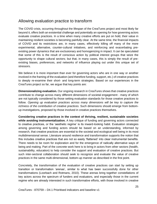#### <span id="page-24-0"></span>Allowing evaluation practice to transform

The COVID crisis, occurring throughout the lifespan of the CreaTures project and most likely far beyond it, offers both an existential challenge and potentially an opening for how governing actors evaluate creative practices. In a time when many creative efforts are put on hold, their value in maintaining resilient societies is becoming painfully clear. At the same time, the financial impacts of COVID and its restrictions are, in many cases, effectively killing off many of the more experimental, alternative, counter-cultural initiatives, and reinforcing and exacerbating preexisting power dynamics that are exclusionary and homogenizing in impact. It can be speculated that some of this is the result of conscious action by political interest groups that seize the opportunity to shape cultural sectors; but that, in many cases, this is simply the result of preexisting biases, preferences, and networks of influence playing out under this unique set of stressors.

We believe it is more important than ever for governing actors who are in one way or another involved in the framing of the evaluation (and therefore funding, support, etc.) of creative practices to deeply re-examine their short- and long-term strategies. Based on our experiences in the CreaTures project so far, we argue that key points are:

**Dimensionalizing evaluation.** Our ongoing research in CreaTures shows that creative practices contribute to change across many different dimensions of societal engagement - many of which are not typically considered by those setting evaluation standards for those creative practices to follow. *Opening up evaluation practices across many dimensions will be key to capture the richness of the contribution of creative practices.* Such dimensions should emerge from bottomup investigations, proposed by those involved in creative practices themselves.

**Considering creative practices in the context of thriving, resilient, sustainable societies while avoiding instrumentalization.** A key critique of funding and governing actors connected to creative practices, or the 'aesthetic regime' is its inward-looking habit. Evaluation strategies among governing and funding actors should be based on an understanding, informed by research, that creative practices are essential to the societal and ecological well being in its most multidimensional sense. Literature around resilience and transformation supports the notion that this includes creative practices that are not so easily 'flattened' into clear instrumental benefits. There needs to be room for exploration and for the emergence of radically alternative ways of being and making. Part of the concrete work here is to bring in actors from other sectors (health, sustainability, education) to help consider the support and evaluation of creative practices. But such inter-sectoral collaboration should seek to recognize and evaluate the value of creative practices in the same multi-dimensional, bottom-up manner as described in the first point.

Concretely, the transformation of the evaluation of creative practices can start by setting up transition or transformation 'arenas', similar to what has been successfully done for other transformations (Loorbach and Rotmans, 2010). These arenas bring together constellations of key actors across the spectrum of funders and evaluators, and especially those in the current regime who are already interested in such transformative efforts, with those involved in creative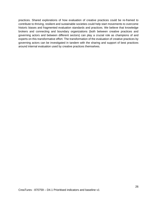practices. Shared explorations of how evaluation of creative practices could be re-framed to contribute to thriving, resilient and sustainable societies could help start movements to overcome historic biases and fragmented evaluation standards and practices. We believe that knowledge brokers and connecting and boundary organizations (both between creative practices and governing actors and between different sectors) can play a crucial role as champions of and experts on this transformative effort. The transformation of the evaluation of creative practices by governing actors can be investigated in tandem with the sharing and support of best practices around internal evaluation used by creative practices themselves.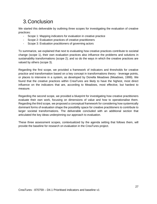## <span id="page-26-0"></span>3.Conclusion

We started this deliverable by outlining three scopes for investigating the evaluation of creative practices:

- Scope 1: Mapping indicators for evaluation in creative practice
- Scope 2: Evaluation practices of creative practitioners
- Scope 3: Evaluation practitioners of governing actors

To summarize, we explained that next to evaluating how creative practices contribute to societal change (scope 1), their own evaluation practices also influence the problems and solutions in sustainability transformations (scope 2); and so do the ways in which the creative practices are valued by others (scope 3).

Regarding the first scope, we provided a framework of indicators and thresholds for creative practice and transformation based on a key concept in transformations theory - leverage points, or places to intervene in a system, as developed by Donella Meadows (Meadows, 1999). We found that the creative practices within CreaTures are likely to have the highest, most direct influence on the indicators that are, according to Meadows, most effective, but hardest to measure.

Regarding the second scope, we provided a blueprint for investigating how creative practitioners evaluate their own work, focusing on dimensions of value and how to operationalise them. Regarding the third scope, we proposed a conceptual framework for considering how systemically dominant forms of evaluation shape the possibility space for creative practitioners to contribute to larger societal transformations. The deliverable concluded with an additional section that articulated the key ideas underpinning our approach to evaluation.

These three assessment scopes, contextualized by the agenda setting that follows them, will provide the baseline for research on evaluation in the CreaTures project.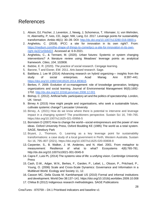## <span id="page-27-0"></span>References

- 1. Abson, DJ, Fischer, J, Leventon, J, Newig, J, Schomerus, T, Vilsmaier, U, von Wehrden, H, Abernethy, P, Ives, CD, Jager, NW, Lang, DJ. 2017. Leverage points for sustainability transformation. Ambio 46(1): 30–39. DOI: [http://dx.doi.org/10.1007/s13280-016-0800-y.](http://dx.doi.org/10.1007/s13280-016-0800-y)
- 2. Angheloiu, C. (2018). IPCC: a site for innovation in its own right?. From: [https://medium.com/the-shape-of-things-to-come/ipcc-a-site-for-innovation-in-its-own](https://medium.com/the-shape-of-things-to-come/ipcc-a-site-for-innovation-in-its-own-right-4a321e5b6d22)[right-4a321e5b6d22.](https://medium.com/the-shape-of-things-to-come/ipcc-a-site-for-innovation-in-its-own-right-4a321e5b6d22) Accessed at: 6-9-2021.
- 3. Angheloiu, C., & Tennant, M. (2020). Urban futures: Systemic or system changing interventions? A literature review using Meadows' leverage points as analytical framework. *Cities*, *104*, 102808.
- 4. Babbie, E. R. (2020). *The practice of social research*. Cengage learning.
- 5. Barone, T and Eisner, EW. 2011. *Arts based research*. Sage.
- 6. Battilana J, Lee M (2014) Advancing research on hybrid organizing— insights from the study of social enterprises. Acad Manag Ann 8:397–441. <https://doi.org/10.1080/19416520.2014.893615>
- 7. Berkes, F. 2009. Evolution of co-management: role of knowledge generation, bridging organizations and social learning. Journal of Environmental Management 90(5):1692- 1702.<http://dx.doi.org/10.1016/j.jenvman.2008.12.001>
- 8. Bishop, C. (2012). Artificial hells: participatory art and the politics of spectatorship. London, UK: Verso\
- 9. Birney A (2015) How might people and organisations, who seek a sustainable future, cultivate systemic change? Lancaster University
- 10. Birney, A. (2021) How do we know where there is potential to intervene and leverage impact in a changing system? The practitioners perspective. Sustain Sci 16, 749–765. https://doi.org/10.1007/s11625-021-00956-5
- 11. Bornstein D (2007) How to change the world—social entrepreneurs and the power of new ideas. Oxford University Press, Oxford Boulding KE (1985) The world as a total system. SAGE, Newbury Park
- 12. Bryant, J., Thomson, G. Learning as a key leverage point for sustainability transformations: a case study of a local government in Perth, Western Australia. Sustain Sci 16, 795–807 (2021). https://doi.org/10.1007/s11625-020-00808-8
- 13. Carpenter, S., B. Walker, J. M. Anderies, and N. Abel. 2001. From metaphor to measurement: Resilience of what to what? Ecosystems 4(8):765-781. http://dx.doi.org/10.1007/s10021-001-0045-9
- 14. Capra F, Luisi PL (2014) The systems view of life: a unifying vision. Cambridge University Press
- 15. Cash, D.W., Adger, W.N., Berkes, F., Garden, P., Lebel, L., Olsson, P., Pritchard, P., Young, O. (2006) Scale and Cross-Scale Dynamics: Governance and Information in a Multilevel World. Ecology and Society 11, 12.
- 16. Casson MC, Della Giusta M, Kambhampati US (2010) Formal and informal institutions and development. World Dev 38:137–141. https://doi.org/10.1016/j.worlddev.2009.10.008
- 17. Chilisa B (2012) Indigenous research methodologies. SAGE Publications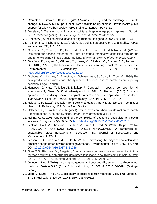- 18. Crompton T, Brewer J, Kasser T (2010) Values, framing, and the challenge of climate change. In: Rowley S, Phillips R (eds) From hot air to happy endings: How to inspire public support for a low carbon society. Green Alliance, London, pp 46–51
- 19. Davelaar, D. Transformation for sustainability: a deep leverage points approach. Sustain Sci 16, 727–747 (2021). https://doi.org/10.1007/s11625-020-00872-0
- 20. Ermine W (2007) The ethical space of engagement. Indigenous Law J 6(1):193–203
- 21. Fischer, J., & Riechers, M. (2019). A leverage points perspective on sustainability. *People and Nature*, *1*(1), 115-120.
- 22. Galafassi, D., Tàbara, J. D., Heras, M., Iles, A., Locke, K. A., & Milkoreit, M. (2018a). Restoring our senses, restoring the Earth. Fostering imaginative capacities through the arts for envisioning climate transformations. *Elementa: Science of the Anthropocene*, *6*.
- 23. Galafassi, D., Kagan, S., Milkoreit, M., Heras, M., Bilodeau, C., Bourke, S. J., Tàbara, J. D. (2018b). 'Raising the temperature': the arts in a warming planet. Current Opinion in Environmental Sustainability, 31, 71–79. [DOI:](https://doi.org/10.1016/j.cosust.2017.12.010)  <https://doi.org/10.1016/j.cosust.2017.12.010>
- 24. Gibbons, M., Limoges, C., Nowotny, H., Schwartzman, S., Scott, P., Trow, M. (1994) The new production of knowledge: the dynamics of science and research in contemporary societies. Sage, London.
- 25. Hanspach J, Hartel T, Milcu AI, Mikulcak F, Dorresteijn I, Loos J, von Wehrden H, Kuemmerle T, Abson D, Kovács-Hostyánszki A, Báldi A, Fischer J (2014) A holistic approach to studying social-ecological systems and its application to southern Transylvania. Ecol Soc 19:art32. https://doi.org/10.5751/ES-06915-190432
- 26. Helguera, P. (2011) [Education for Socially Engaged Art:](https://tt.eduuni.fi/sites/aalto-creatures/CreaTures%20General%20Documents/Readings/Helguera-Pablo_Socially-Engaged-Art.pdf) A Materials and Techniques Handbook, Bethesda, USA: Jorge Pinto Books
- 27. Hölscher, K., & Frantzeskaki, N. (2021). Perspectives on urban transformation research: transformations in, of, and by cities. Urban Transformations, 3(1), 1-14.
- 28. Holling, C. S. 2001. Understanding the complexity of economic, ecological, and social systems. Ecosystems 4(5):390-405. [http://dx.doi.org/10.1007/s10021-001-0101-5.](http://dx.doi.org/10.1007/s10021-001-0101-5)
- 29. Jeakins, Paul & Sheppard, Stephen & Bunnell, Fred & Wells, Ralph. (2014). FRAMEWORK FOR SUSTAINABLE FOREST MANAGEMENT A framework for sustainable forest management Introduction. BC Journal of Ecosystems and Management. 7. 37-49.
- 30. Jensen, J. S., Cashmore M. & Elle, M. (2017) Reinventing the bicycle: how calculative practices shape urban environmental governance, Environmental Politics, 26(3) 459-479, DOI[:](https://doi.org/10.1080/09644016.2017.1311089) [10.1080/09644016.2017.1311089](https://doi.org/10.1080/09644016.2017.1311089)
- 31. Jiren, T.S., Riechers, M., Bergsten, A. et al. A leverage points perspective on institutions for food security in a smallholder-dominated landscape in southwestern Ethiopia. Sustain Sci 16, 767–779 (2021). https://doi.org/10.1007/s11625-021-00936-
- 32. Johnson JT et al (2016) Weaving Indigenous and sustainability sciences to diversify our methods. Sustain Sci 11(1):1–11. https:// doi.org/10.1007/s11625-015-0349-x (Springer Japan)
- 33. Jupp, V. (2006). The SAGE dictionary of social research methods (Vols. 1-0). London, : SAGE Publications, Ltd doi: 10.4135/9780857020116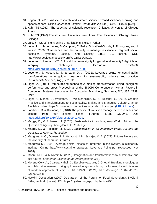- 34. Kagan, S. 2015. Artistic research and climate science: Transdisciplinary learning and spaces of possi-bilities. *Journal of Science Communication* 14(1): C07.1–C07.8. [C07].
- 35. Kuhn TS (1962). The structure of scientific revolution. Chicago: University of Chicago Press.
- 36. Kuhn TS (1996) The structure of scientific revolutions. The University of Chicago Press, Chicago
- 37. Laloux F (2016) Reinventing organizations. Nelson Parker
- 38. Lebel, L., J. M. Anderies, B. Campbell, C. Folke, S. Hatfield-Dodds, T. P. Hughes, and J. Wilson. 2006. Governance and the capacity to manage resilience in regional socialecological systems. Ecology and Society 11(1): 19. [online] URL: [http://www.ecologyandsociety.org/vol11/iss1/art19/.](http://www.ecologyandsociety.org/vol11/iss1/art19/)
- 39. Leventon J, Laudan J (2017) Local food sovereignty for global food security? Highlighting interplay challenges. Geoforum 85:23–26. <https://doi.org/10.1016/j.geoforum.2017.07.002>
- 40. Leventon, J., Abson, D. J., & Lang, D. J. (2021). Leverage points for sustainability transformations: nine guiding questions for sustainability science and practice. *Sustainability Science*, *16*(3), 721-726.
- 41. Light, A. (2011) Democratising technology: making transformation using designing, performance and props Proceedings of the SIGCHI Conference on Human Factors in Computing Systems. Association for Computing Machinery, New York, NY, USA. 2239- 2242
- 42. Light, A., Mason, D., Wakeford, T., Wolstenholme, R., & Hielscher, S. (2018). Creative Practice and Transformations to Sustainability: Making and Managing Culture Change. Available online: https://connected-communities.org/index.php/project [\(URL link here\)](https://connected-communities.org/wp-content/uploads/2018/08/Creative-Practice-and-Transformations-to-Sustainability-Making-and-Managing-Culture-Change.pdf)
- 43. Loorbach, D. & Rotmans, J. (2010) The practice of transition management: Examples and lessons from four distinct cases. Futures. 42(3), 237-246, DOI: [https://doi.org/10.1016/j.futures.2009.11.009.](https://doi.org/10.1016/j.futures.2009.11.009)
- 44. Maggs, D., & Robinson, J. (2020). Sustainability in an Imaginary World: Art and the Question of Agency. Abingdon, UK: Routledge.
- 45. Maggs, D., & Robinson, J. (2020). *Sustainability in an Imaginary World: Art and the Question of Agency*. Routledge.
- 46. Mangnus, A. C., Oomen, J. J., Vervoort, J. M., & Hajer, M. A. (2021). Futures literacy and the diversity of the future. *Futures*.
- 47. Meadows D (1999) Leverage points: places to intervene in the system. sustainability institute. Online http://www.sustainer.org/pubs/ Leverage\_Points.pdf (Accessed Nov 2014).
- 48. Moore, M. L., & Milkoreit, M. (2020). Imagination and transformations to sustainable and just futures. *Elementa: Science of the Anthropocene*, *8*(1).
- 49. Moreno-Cely, A., Cuajera-Nahui, D., Escobar-Vasquez, C.G. et al. Breaking monologues in collaborative research: bridging knowledge systems through a listening-based dialogue of wisdom approach. Sustain Sci 16, 919–931 (2021). https://doi.org/10.1007/s11625- 021-00937-8
- 50. Nyéléni Declaration (2007) Declaration of the Forum for Food Sovereignty. Nyéléni, Sélingué, Mali. [online] URL: https://nyeleni. org/spip.php?article290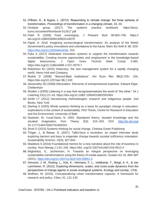- 51. O'Brien, K., & Sygna, L. (2013). Responding to climate change: the three spheres of transformation. *Proceedings of transformation in a changing climate*, *16*, 23.
- 52. Omidyar group (2017) The systems practice workbook. https://docs. kumu.io/content/Workbook-012617.pdf
- 53. Patel R (2009) Food sovereignty. J Peasant Stud 36:663–706. https:// doi.org/10.1080/03066150903143079
- 54. Pigott, A. 2018. Imagining socioecological transformation: An analysis of the Welsh Government's policy innovations and orientations to the future. Elem Sci Anth 6: 60. DOI[:](https://doi.org/10.1525/elementa) [https://doi.org/10.1525/elementa.](https://doi.org/10.1525/elementa) 315.
- 55. Pyka A (2017) Dedicated innovation systems to support the transformation towards sustainability: Creating income opportunities and employment in the knowledge-based digital bioeconomy. J Open Innov Technol Mark Compl 3:385. https://doi.org/10.1186/s4085 2-017-0079-7
- 56. Robertson BJ (2015) Holacracy: the new management system for a rapidly changing world. Henry Holt and Company
- 57. Rodrik D (2008) "Second-Best Institutions". Am Econ Rev 98(2):100– 104. https://doi.org/10.1257/aer.98.2.100
- 58. Sarasvathy SD (2008) Efectuation: Elements of entrepreneurial expertise. Edward Elgar, Cheltenham
- 59. Shotter J (2009) Listening in a way that recognizes/realizes the world of "the other." Int J Listening 23(1):21–43. https://doi.org/10.1080/ 10904010802591904
- 60. Smith LT (2012) Decolonizing methodologies: research and indigenous people. Zed Books, New York
- 61. Sterling S (2003) Whole systems thinking as a basis for paradigm change in education: explorations in the context of sustainability. PhD Thesis, Centre for Research in Education and the Environment, University of Bath
- 62. Stoetzler, M, Yuval-Davis, N. 2002. Standpoint theory, situated knowledge and the situated imagination. Fem Theory 3(3): 315–333. DOI[:](http://dx.doi.org/) <http://dx.doi.org/> 10.1177/146470002762492024.
- 63. Stroh D (2015) Systems thinking for social change. Chelsea Green Publishing
- 64. Tröger, J., & Reese, G. (2021). Talkin'bout a revolution: an expert interview study exploring barriers and keys to engender change towards societal sufficiency orientation. Sustainability Science, 16(3), 827-840.
- 65. Waddock S (2016) Foundational memes for a new narrative about the role of business in society. Hum Manag J 1:91–105. https://doi. org/10.1007/s41463-016-0012-4
- 66. Wigboldus, S., Jochemsen, H. Towards an integral perspective on leveraging sustainability transformations using the theory of modal aspects. Sustain Sci 16, 869–887 (2021).<https://doi.org/10.1007/s11625-020-00851-5>
- 67. Vervoort, J. M., Rutting, L., Kok, K., Hermans, F. L., Veldkamp, T., Bregt, A. K., & van Lammeren, R. (2012). Exploring dimensions, scales, and cross-scale dynamics from the perspectives of change agents in social–ecological systems. *Ecology and society*, *17*(4).
- 68. Wolfram, M. (2016). Conceptualizing urban transformative capacity: A framework for research and policy. Cities, 51, 121-130.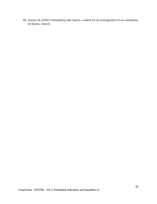69. Zweers W (2000) Participating with nature—outline for an ecologization of our worldview. Int Books, Utrecht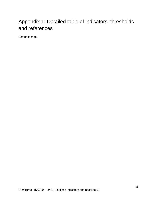# <span id="page-32-0"></span>Appendix 1: Detailed table of indicators, thresholds and references

See next page.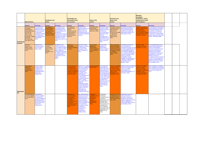|                            | <b>Knowledge and</b><br><b>Feedbacks and</b><br>information flows<br><b>Material flows</b><br>and systems<br><b>delays</b>                                                                                                                              |                                                                                                                                                                                                    | <b>Rules of the</b><br><b>system</b>                                                                                         |                                                                                                                                                                                                                                                                                                                                                           |                                                                                                                                                                                                                | <b>Intentions and</b><br>goals of the<br>system                                                                                                                                                                                                                                                                                                                                                                                                               |                                                                                                      | Mindsets,<br>paradigms,<br>worldviews, values,<br>supported by myths<br>and metaphors                                                                                                                                                                                                                                                                                                                       |                                                                                                                                                                                 |                                                                                                                                                                                                                                                                                                                                                                                                                                                                                                             |                                                                                                                                                                                     |                                                                                                                                                                                                                                                                                                                                                                                                                                                                     |  |
|----------------------------|---------------------------------------------------------------------------------------------------------------------------------------------------------------------------------------------------------------------------------------------------------|----------------------------------------------------------------------------------------------------------------------------------------------------------------------------------------------------|------------------------------------------------------------------------------------------------------------------------------|-----------------------------------------------------------------------------------------------------------------------------------------------------------------------------------------------------------------------------------------------------------------------------------------------------------------------------------------------------------|----------------------------------------------------------------------------------------------------------------------------------------------------------------------------------------------------------------|---------------------------------------------------------------------------------------------------------------------------------------------------------------------------------------------------------------------------------------------------------------------------------------------------------------------------------------------------------------------------------------------------------------------------------------------------------------|------------------------------------------------------------------------------------------------------|-------------------------------------------------------------------------------------------------------------------------------------------------------------------------------------------------------------------------------------------------------------------------------------------------------------------------------------------------------------------------------------------------------------|---------------------------------------------------------------------------------------------------------------------------------------------------------------------------------|-------------------------------------------------------------------------------------------------------------------------------------------------------------------------------------------------------------------------------------------------------------------------------------------------------------------------------------------------------------------------------------------------------------------------------------------------------------------------------------------------------------|-------------------------------------------------------------------------------------------------------------------------------------------------------------------------------------|---------------------------------------------------------------------------------------------------------------------------------------------------------------------------------------------------------------------------------------------------------------------------------------------------------------------------------------------------------------------------------------------------------------------------------------------------------------------|--|
|                            | Indicator                                                                                                                                                                                                                                               | <b>Threshold</b>                                                                                                                                                                                   | Indicator                                                                                                                    | <b>Threshold</b>                                                                                                                                                                                                                                                                                                                                          | Indicator                                                                                                                                                                                                      | <b>Threshold</b>                                                                                                                                                                                                                                                                                                                                                                                                                                              | Indicator                                                                                            | <b>Threshold</b>                                                                                                                                                                                                                                                                                                                                                                                            | Indicator                                                                                                                                                                       | <b>Threshold</b>                                                                                                                                                                                                                                                                                                                                                                                                                                                                                            | Indicator                                                                                                                                                                           | <b>Threshold</b>                                                                                                                                                                                                                                                                                                                                                                                                                                                    |  |
| Institutional/<br>systemic | The use of power in The powerful are<br>sustainable<br>transformations<br>(especially by those<br>who have the<br>power to give<br>success to the<br>successful) - typifed going towards those<br>by financial<br>and resourcing<br>fows (Birney, 2021) | ready and open to<br>divert their resources to connect with<br>towards new goals.<br>Consquently, a<br>and initiatives are<br>goals 9Birney,<br>$ 2021$ ).                                         | The capacity of<br>formal institutions<br>and support local<br>dynamics and<br>Jiren et al., 2021)                           | The synergies in the<br>cooperation between<br>ormal institutions and<br>informal institutions are<br>identified and<br>flourishing of funding informal institutions strengthened, causing a imaginaries and<br>widening of the scope of default options for<br>nterventions by formal<br>nstitutions to a more<br>nolistic focus (Jiren et al.<br>2021). | The creation of<br>institutional and<br>physical<br>nfrastructures that<br>provide spaces for<br>decisions.                                                                                                    | Institutional and<br>physical infrastructures<br>allow decisions to<br>default to the most<br>sustainable options; or<br>to generate imaginative<br>solutions.                                                                                                                                                                                                                                                                                                | Improving system<br>design/making<br>structural changes<br>(Jiren et al., 2021).                     | <b>Structural changes</b><br>to improve system<br>design are inclusive<br>and take into<br>account all sides of<br>the problem chain<br><b>AND the</b><br>consequences of<br>the solutions for all<br>sides of the solution<br>chain. (Jiren et al.<br>$ 2021$ ).                                                                                                                                           | nterventions that are<br>coordinated and are<br>aligning towards<br>goals that are<br>working for the health<br>or regenerative<br>capacity of the<br>system (Birney,<br>2021). | Interventions are aligned to re-<br>framed sustainable goals.<br>ensuring that the goals are<br>working for the health and<br>regenerative capacity of the<br>system (Birney, 2021).                                                                                                                                                                                                                                                                                                                        | Reflexive processes to<br>question mental models<br>and narratives at<br>institutional/systemic<br>level, including innovatio<br>paradigms (Birney, 2021<br>Schlaile et al., 2021). | The questioning of assumptions,<br>mental models and narratives at<br>the institutional/systemic level<br>has become a conventional<br>practice (Birney, 2021). As a<br>consequence, new/sustainable<br>systemic patterns emerge where<br>needed (Sarasvathy 2008).                                                                                                                                                                                                 |  |
|                            | Economic<br>measures for<br>welfare, growth<br>(Tröger& Reese,<br>2021).                                                                                                                                                                                | <b>Sufficiency has</b><br>informed economic<br>norms (Tröger&<br>Reese, 2021).                                                                                                                     | <b>Recognizing and</b><br>using the<br>accountability<br>effects of socia<br>networks<br>(Hanspach et al.,<br>$ 2014\rangle$ | stablished social<br>networks increase the<br>accountability of political<br>elites (Lebel et al. 2006,<br>Berkes 2009) and,<br>simultaniously, enhance<br>the adaptive capacity of<br>vulnerable groups<br>(Carpenter et al. 2001,<br><b>Holling</b><br>$2001$ ).                                                                                        | Systems for<br>sustainability<br>nnovation (Schlaile et to transformative<br>, 2021).                                                                                                                          | <b>Innovation systems</b><br>designed to contribute<br>innovations" (Pyka<br>2017; Schlaile et al.<br>$2021$ ).                                                                                                                                                                                                                                                                                                                                               | The perceived<br>legitimacy of<br>transformative<br>actions (Wigboldus,<br>S. & Jochemsen,<br>2021). | The perceived<br>legitimacy of<br>transformative<br>actions is sufficient<br>for rapid change.                                                                                                                                                                                                                                                                                                              | Setting sustainable<br>whole system goalsl<br>ensuring coherence<br>for innovation<br>systems (Birney<br>2021).                                                                 | Sustainable goals take into<br>account all aspects of<br>organisational systems and aim (Schlaile et al., 2021)<br>between goals across to embed sustainability into the<br>the system, including core organisational systems.<br>The continuous reflection on<br>the core values and definitions<br>that (subconsciously) inspire<br>goals (e.g. inclusivity,<br>sustainability, progress,<br>scalability, etc.) has become a<br>customary, multidisciplinary<br>activity (Birney, 2021;<br>Meadows, 1999) | Dominant system<br>definitions; discourses.                                                                                                                                         | The sustainability discourse is<br>institutionalised holistically; the<br>subject of sustainability is<br>connected to all aspects of the<br>system and trade-offs and<br>synergies are recognized,<br>acknowledged and discussed.<br><b>Negotiation and consensus</b><br>building have become<br>conventional practice (Schlaile et<br>al., 2021). As a consequence,<br>problems are being solved on a<br>different level than we created<br>them (Davelaar, 2021) |  |
| <b>Organizatio</b><br>nal  | Organizational<br>energy and<br>motivation for<br>change (Birney<br>2021                                                                                                                                                                                | People's desire to<br>change is being<br>stimulated and<br>supported on the<br><b>organizational level</b><br>(Stroh 2015,<br>Omidyar 2017).                                                       |                                                                                                                              |                                                                                                                                                                                                                                                                                                                                                           | Opening spaces for<br>co-creating at the<br>organizational level.<br><b>Focusing on listening</b> level that embrace<br>nstead of speaking as complexity and<br>a capacity. (Moreno-<br>Cely et al., 2021).    | Spaces for co-creating Organisational trust<br>have been established (Birney, 2021).<br>at the organisational<br>uncertainty. These<br>iclude learning<br>communities that focus<br>on decolonising<br>knowledge, being and<br>actions. (Chilisa<br>2012; Smith 2012). A<br>dialogical<br>organizational space<br>emphasising listening<br>instead of speaking is<br>created. In this new<br>ethical space, a<br>cooperative spirit<br>prevails (Ermine 2007) |                                                                                                      | The investment in<br>relationships has<br>lead to high levels of<br>organisational trust<br>and has increased<br>the capacity for new $\sqrt{\text{Wigboldus}}$ , S. &<br>diverse relationships Jochemsen, 2021).<br>to work together. As<br>a result, new models<br>are flourishing and<br>providing proof<br>points for a new way<br>for the system to<br>operate (LaLoux<br>2016, Robertson<br>$2015$ ). | aking on the politic<br>economy of power<br>structures: showing<br>biases inherent in the<br>ystem's goals                                                                      | Political economic assumptions<br>inherent in the goals of the<br>system are revealed.<br>acknowledged, and<br>transformed (Wigboldus, S. &<br>Jochemsen, 2021).                                                                                                                                                                                                                                                                                                                                            | <b>Faking on the political</b><br>economy of power<br>structures: revealing<br>inequalities in worldview<br>paradigms, values,<br>mindsets (Wigboldus, S.<br>& Jochemsen, 2021).    | Deep inequalities in worldviews,<br>values, paradigms and mindsets<br>are recognized and transformed<br>(Birney, 2021; Schlaile et al.,<br>$2021$ ).                                                                                                                                                                                                                                                                                                                |  |
|                            | The organizational<br>recources available<br>for change (Birney,<br>$ 2021\rangle$                                                                                                                                                                      | Organizational<br><b>resources</b> available<br>for change have<br>increased sufficiently<br>(people report that<br>they feel like there ar<br>enough resources)<br>(Stroh 2015,<br>Omidyar 2017). |                                                                                                                              |                                                                                                                                                                                                                                                                                                                                                           | <b>Reflexivity and</b><br>collective learning:<br>new formats of<br>cooperation and<br>- coordination:<br>crossing the mental<br>boundaries of<br>disciplines and social<br>classes (Wolfram<br>$ 2016\rangle$ | New self-assessment<br>techniques have been<br>implemented at the<br>organizational level. As awareness of<br>a result, reflexivity<br>addresses all agency<br>levels and relates to all (Schlaile et al.,<br>core development<br>processes, as well as<br>to leadership,<br>governance and<br>community<br>empowerment<br>(Wolfram 2016).                                                                                                                    | <b>Challenging</b><br>established rules of<br>collaboration-<br>(shared)<br>responsibilities<br>2021 | The informal<br>conditioning<br>constraints (rules) of<br>cooperation<br>networks have been et al., 2021)<br>challenged (e.g.,<br>Bornstein 2007).<br>This has lead to the<br>establishment of<br>new, sustainable,<br>and inclusive rules of<br>collaboration (e.g.,<br>Battilana & Lee<br>$2014$ ).                                                                                                       | Openness of power<br>in relationships - over, dynamics have been<br>between and within                                                                                          | <b>Relationships and power</b><br>recognized, opened up -<br>actors (Moreno-Cely allowing for experimental<br>models of organising. This has<br>inspired a willingness to<br>change (especially by those in<br>power) (Birney, 2021).                                                                                                                                                                                                                                                                       |                                                                                                                                                                                     |                                                                                                                                                                                                                                                                                                                                                                                                                                                                     |  |